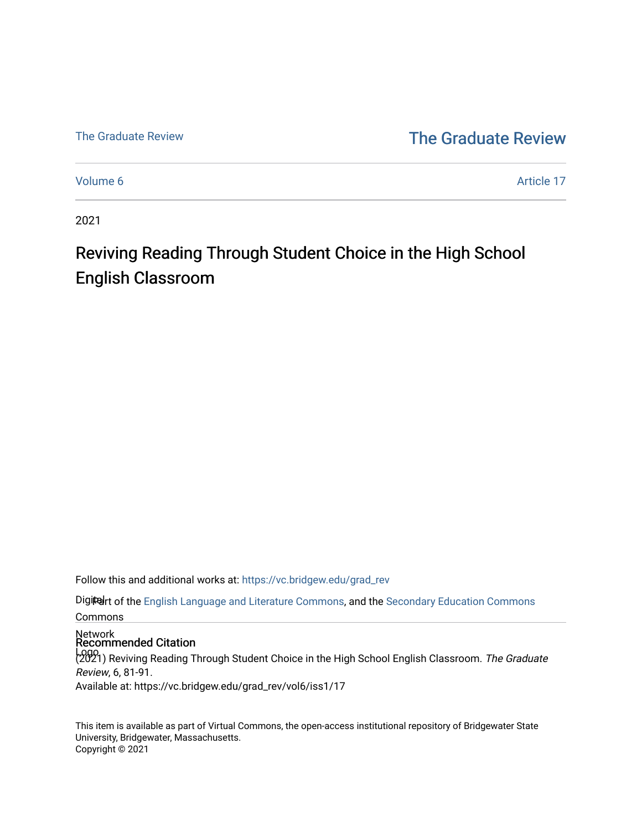## [The Graduate Review](http://vc.bridgew.edu/) The Graduate Review

[Volume 6](https://vc.bridgew.edu/grad_rev/vol6) Article 17

2021

# Reviving Reading Through Student Choice in the High School English Classroom

Follow this and additional works at: [https://vc.bridgew.edu/grad\\_rev](https://vc.bridgew.edu/grad_rev?utm_source=vc.bridgew.edu%2Fgrad_rev%2Fvol6%2Fiss1%2F17&utm_medium=PDF&utm_campaign=PDFCoverPages) 

Digitalrt of the [English Language and Literature Commons](http://network.bepress.com/hgg/discipline/455?utm_source=vc.bridgew.edu%2Fgrad_rev%2Fvol6%2Fiss1%2F17&utm_medium=PDF&utm_campaign=PDFCoverPages), and the Secondary Education Commons Commons

Network Recommended Citation

Logo<br>(2021) Reviving Reading Through Student Choice in the High School English Classroom. The Graduate Review, 6, 81-91.

Available at: https://vc.bridgew.edu/grad\_rev/vol6/iss1/17

This item is available as part of Virtual Commons, the open-access institutional repository of Bridgewater State University, Bridgewater, Massachusetts. Copyright © 2021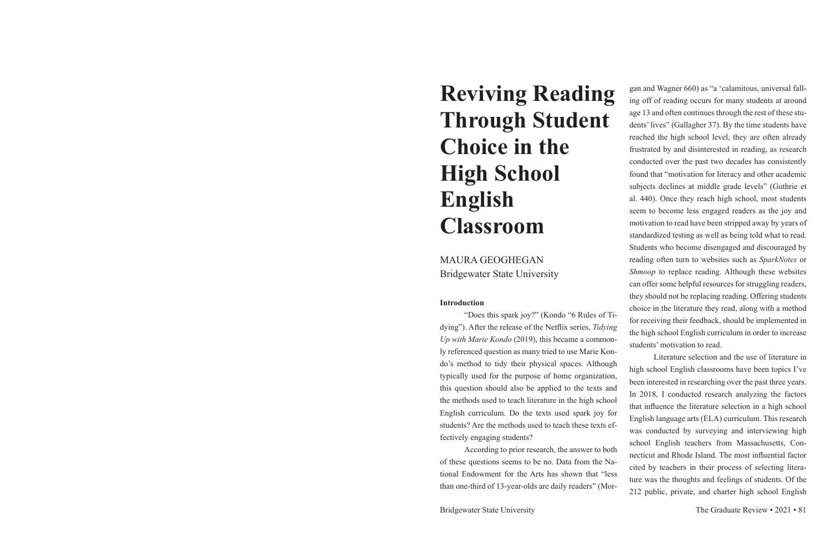# **Reviving Reading Through Student Choice in the High School English Classroom**

MAURA GEOGHEGAN Bridgewater State University

### **Introduction**

"Does this spark joy?" (Kondo "6 Rules of Tidying"). After the release of the Netflix series, *Tidying Up with Marie Kondo* (2019), this became a commonly referenced question as many tried to use Marie Konfectively engaging students?

gan and Wagner 660) as "a 'calamitous, universal falling off of reading occurs for many students at around age 13 and often continues through the rest of these students' lives" (Gallagher 37). By the time students have reached the high school level, they are often already frustrated by and disinterested in reading, as research conducted over the past two decades has consistently found that "motivation for literacy and other academic subjects declines at middle grade levels" (Guthrie et al. 440). Once they reach high school, most students seem to become less engaged readers as the joy and motivation to read have been stripped away by years of standardized testing as well as being told what to read. Students who become disengaged and discouraged by reading often turn to websites such as *SparkNotes* or *Shmoop* to replace reading. Although these websites can offer some helpful resources for struggling readers, they should not be replacing reading. Offering students choice in the literature they read, along with a method for receiving their feedback, should be implemented in the high school English curriculum in order to increase students' motivation to read.

do's method to tidy their physical spaces. Although typically used for the purpose of home organization, this question should also be applied to the texts and the methods used to teach literature in the high school English curriculum. Do the texts used spark joy for students? Are the methods used to teach these texts ef-According to prior research, the answer to both of these questions seems to be no. Data from the National Endowment for the Arts has shown that "less than one-third of 13-year-olds are daily readers" (Mor-Literature selection and the use of literature in high school English classrooms have been topics I've been interested in researching over the past three years. In 2018, I conducted research analyzing the factors that influence the literature selection in a high school English language arts (ELA) curriculum. This research was conducted by surveying and interviewing high school English teachers from Massachusetts, Connecticut and Rhode Island. The most influential factor cited by teachers in their process of selecting literature was the thoughts and feelings of students. Of the 212 public, private, and charter high school English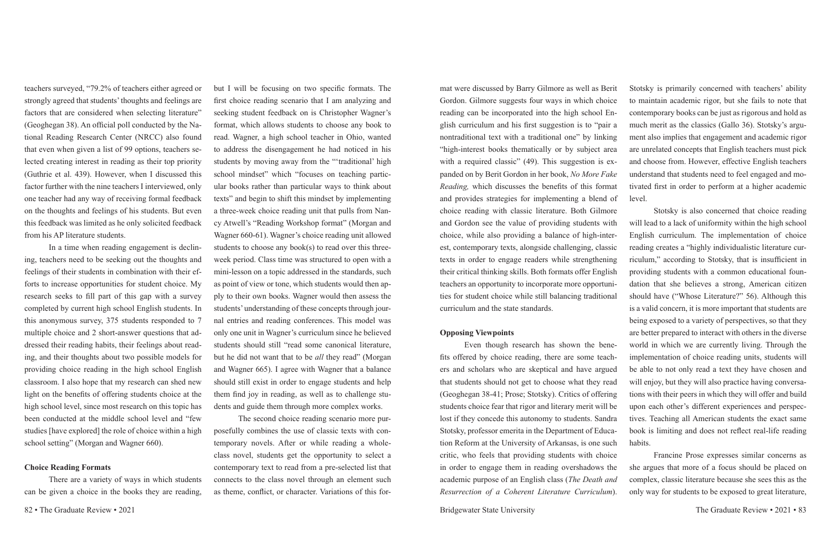teachers surveyed, "79.2% of teachers either agreed or strongly agreed that students' thoughts and feelings are factors that are considered when selecting literature" (Geoghegan 38). An official poll conducted by the National Reading Research Center (NRCC) also found that even when given a list of 99 options, teachers selected creating interest in reading as their top priority (Guthrie et al. 439). However, when I discussed this factor further with the nine teachers I interviewed, only one teacher had any way of receiving formal feedback on the thoughts and feelings of his students. But even this feedback was limited as he only solicited feedback from his AP literature students.

In a time when reading engagement is declining, teachers need to be seeking out the thoughts and feelings of their students in combination with their efforts to increase opportunities for student choice. My research seeks to fill part of this gap with a survey completed by current high school English students. In this anonymous survey, 375 students responded to 7 multiple choice and 2 short-answer questions that addressed their reading habits, their feelings about reading, and their thoughts about two possible models for providing choice reading in the high school English classroom. I also hope that my research can shed new light on the benefits of offering students choice at the high school level, since most research on this topic has been conducted at the middle school level and "few studies [have explored] the role of choice within a high school setting" (Morgan and Wagner 660).

### **Choice Reading Formats**

There are a variety of ways in which students can be given a choice in the books they are reading,

but I will be focusing on two specific formats. The first choice reading scenario that I am analyzing and seeking student feedback on is Christopher Wagner's format, which allows students to choose any book to read. Wagner, a high school teacher in Ohio, wanted to address the disengagement he had noticed in his students by moving away from the "'traditional' high school mindset" which "focuses on teaching particular books rather than particular ways to think about texts" and begin to shift this mindset by implementing a three-week choice reading unit that pulls from Nancy Atwell's "Reading Workshop format" (Morgan and Wagner 660-61). Wagner's choice reading unit allowed students to choose any book(s) to read over this threeweek period. Class time was structured to open with a mini-lesson on a topic addressed in the standards, such as point of view or tone, which students would then apply to their own books. Wagner would then assess the students' understanding of these concepts through journal entries and reading conferences. This model was only one unit in Wagner's curriculum since he believed students should still "read some canonical literature, but he did not want that to be *all* they read" (Morgan and Wagner 665). I agree with Wagner that a balance should still exist in order to engage students and help them find joy in reading, as well as to challenge students and guide them through more complex works.

The second choice reading scenario more purposefully combines the use of classic texts with contemporary novels. After or while reading a wholeclass novel, students get the opportunity to select a contemporary text to read from a pre-selected list that connects to the class novel through an element such as theme, conflict, or character. Variations of this format were discussed by Barry Gilmore as well as Berit Gordon. Gilmore suggests four ways in which choice reading can be incorporated into the high school English curriculum and his first suggestion is to "pair a nontraditional text with a traditional one" by linking "high-interest books thematically or by subject area with a required classic" (49). This suggestion is expanded on by Berit Gordon in her book, *No More Fake Reading,* which discusses the benefits of this format and provides strategies for implementing a blend of choice reading with classic literature. Both Gilmore and Gordon see the value of providing students with choice, while also providing a balance of high-interest, contemporary texts, alongside challenging, classic texts in order to engage readers while strengthening their critical thinking skills. Both formats offer English teachers an opportunity to incorporate more opportunities for student choice while still balancing traditional curriculum and the state standards. Stotsky is primarily concerned with teachers' ability to maintain academic rigor, but she fails to note that contemporary books can be just as rigorous and hold as much merit as the classics (Gallo 36). Stotsky's argument also implies that engagement and academic rigor are unrelated concepts that English teachers must pick and choose from. However, effective English teachers understand that students need to feel engaged and motivated first in order to perform at a higher academic level. Stotsky is also concerned that choice reading will lead to a lack of uniformity within the high school reading creates a "highly individualistic literature curriculum," according to Stotsky, that is insufficient in providing students with a common educational foundation that she believes a strong, American citizen

**Opposing Viewpoints** Even though research has shown the benefits offered by choice reading, there are some teachers and scholars who are skeptical and have argued that students should not get to choose what they read (Geoghegan 38-41; Prose; Stotsky). Critics of offering students choice fear that rigor and literary merit will be lost if they concede this autonomy to students. Sandra Stotsky, professor emerita in the Department of Education Reform at the University of Arkansas, is one such critic, who feels that providing students with choice in order to engage them in reading overshadows the academic purpose of an English class (*The Death and Resurrection of a Coherent Literature Curriculum*). English curriculum. The implementation of choice should have ("Whose Literature?" 56). Although this is a valid concern, it is more important that students are being exposed to a variety of perspectives, so that they are better prepared to interact with others in the diverse world in which we are currently living. Through the implementation of choice reading units, students will be able to not only read a text they have chosen and will enjoy, but they will also practice having conversations with their peers in which they will offer and build upon each other's different experiences and perspectives. Teaching all American students the exact same book is limiting and does not reflect real-life reading habits. Francine Prose expresses similar concerns as she argues that more of a focus should be placed on complex, classic literature because she sees this as the only way for students to be exposed to great literature,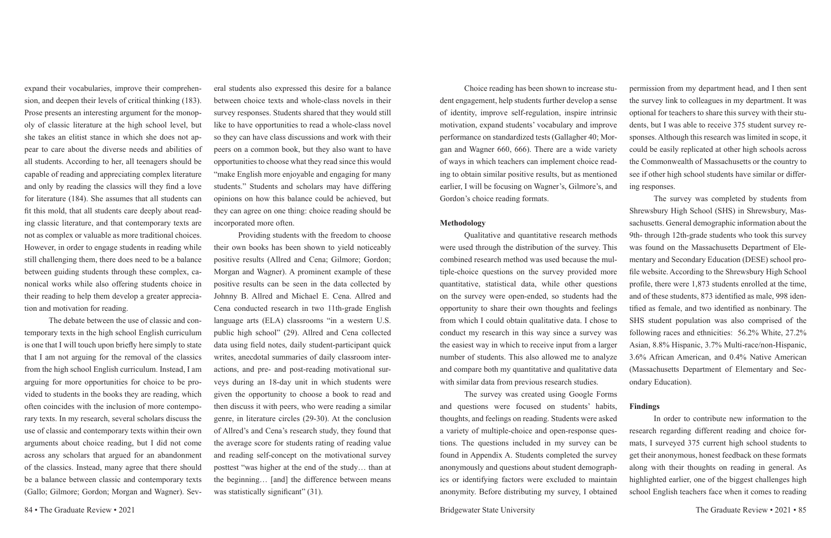expand their vocabularies, improve their comprehension, and deepen their levels of critical thinking (183). Prose presents an interesting argument for the monopoly of classic literature at the high school level, but she takes an elitist stance in which she does not appear to care about the diverse needs and abilities of all students. According to her, all teenagers should be capable of reading and appreciating complex literature and only by reading the classics will they find a love for literature (184). She assumes that all students can fit this mold, that all students care deeply about reading classic literature, and that contemporary texts are not as complex or valuable as more traditional choices. However, in order to engage students in reading while still challenging them, there does need to be a balance between guiding students through these complex, canonical works while also offering students choice in their reading to help them develop a greater appreciation and motivation for reading.

Providing students with the freedom to choose their own books has been shown to yield noticeably positive results (Allred and Cena; Gilmore; Gordon; Morgan and Wagner). A prominent example of these positive results can be seen in the data collected by Johnny B. Allred and Michael E. Cena. Allred and Cena conducted research in two 11th-grade English language arts (ELA) classrooms "in a western U.S. public high school" (29). Allred and Cena collected data using field notes, daily student-participant quick writes, anecdotal summaries of daily classroom interactions, and pre- and post-reading motivational surveys during an 18-day unit in which students were given the opportunity to choose a book to read and then discuss it with peers, who were reading a similar genre, in literature circles (29-30). At the conclusion of Allred's and Cena's research study, they found that the average score for students rating of reading value and reading self-concept on the motivational survey posttest "was higher at the end of the study… than at the beginning… [and] the difference between means was statistically significant" (31).

The debate between the use of classic and contemporary texts in the high school English curriculum is one that I will touch upon briefly here simply to state that I am not arguing for the removal of the classics from the high school English curriculum. Instead, I am arguing for more opportunities for choice to be provided to students in the books they are reading, which often coincides with the inclusion of more contemporary texts. In my research, several scholars discuss the use of classic and contemporary texts within their own arguments about choice reading, but I did not come across any scholars that argued for an abandonment of the classics. Instead, many agree that there should be a balance between classic and contemporary texts (Gallo; Gilmore; Gordon; Morgan and Wagner). Sev-

eral students also expressed this desire for a balance between choice texts and whole-class novels in their survey responses. Students shared that they would still like to have opportunities to read a whole-class novel so they can have class discussions and work with their peers on a common book, but they also want to have opportunities to choose what they read since this would "make English more enjoyable and engaging for many students." Students and scholars may have differing opinions on how this balance could be achieved, but they can agree on one thing: choice reading should be incorporated more often.

Choice reading has been shown to increase student engagement, help students further develop a sense of identity, improve self-regulation, inspire intrinsic motivation, expand students' vocabulary and improve performance on standardized tests (Gallagher 40; Morgan and Wagner 660, 666). There are a wide variety of ways in which teachers can implement choice reading to obtain similar positive results, but as mentioned earlier, I will be focusing on Wagner's, Gilmore's, and Gordon's choice reading formats. permission from my department head, and I then sent the survey link to colleagues in my department. It was optional for teachers to share this survey with their students, but I was able to receive 375 student survey responses. Although this research was limited in scope, it could be easily replicated at other high schools across the Commonwealth of Massachusetts or the country to see if other high school students have similar or differing responses. The survey was completed by students from

**Methodology** Qualitative and quantitative research methods were used through the distribution of the survey. This combined research method was used because the multiple-choice questions on the survey provided more quantitative, statistical data, while other questions on the survey were open-ended, so students had the opportunity to share their own thoughts and feelings from which I could obtain qualitative data. I chose to conduct my research in this way since a survey was the easiest way in which to receive input from a larger number of students. This also allowed me to analyze and compare both my quantitative and qualitative data with similar data from previous research studies. Shrewsbury High School (SHS) in Shrewsbury, Massachusetts. General demographic information about the 9th- through 12th-grade students who took this survey was found on the Massachusetts Department of Elementary and Secondary Education (DESE) school profile website. According to the Shrewsbury High School profile, there were 1,873 students enrolled at the time, and of these students, 873 identified as male, 998 identified as female, and two identified as nonbinary. The SHS student population was also comprised of the following races and ethnicities: 56.2% White, 27.2% Asian, 8.8% Hispanic, 3.7% Multi-race/non-Hispanic, 3.6% African American, and 0.4% Native American (Massachusetts Department of Elementary and Secondary Education).

The survey was created using Google Forms and questions were focused on students' habits, thoughts, and feelings on reading. Students were asked a variety of multiple-choice and open-response questions. The questions included in my survey can be found in Appendix A. Students completed the survey anonymously and questions about student demographics or identifying factors were excluded to maintain anonymity. Before distributing my survey, I obtained **Findings** In order to contribute new information to the research regarding different reading and choice formats, I surveyed 375 current high school students to get their anonymous, honest feedback on these formats along with their thoughts on reading in general. As highlighted earlier, one of the biggest challenges high school English teachers face when it comes to reading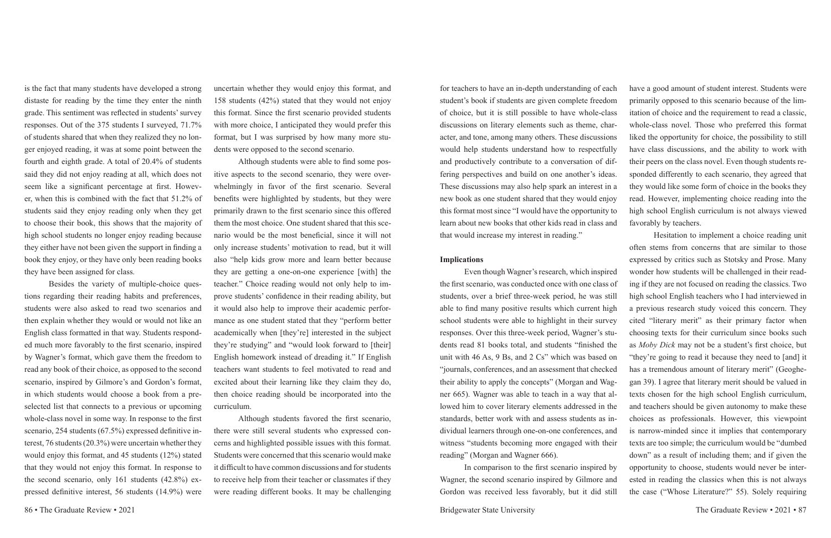is the fact that many students have developed a strong distaste for reading by the time they enter the ninth grade. This sentiment was reflected in students' survey responses. Out of the 375 students I surveyed, 71.7% of students shared that when they realized they no longer enjoyed reading, it was at some point between the fourth and eighth grade. A total of 20.4% of students said they did not enjoy reading at all, which does not seem like a significant percentage at first. However, when this is combined with the fact that 51.2% of students said they enjoy reading only when they get to choose their book, this shows that the majority of high school students no longer enjoy reading because they either have not been given the support in finding a book they enjoy, or they have only been reading books they have been assigned for class.

Besides the variety of multiple-choice questions regarding their reading habits and preferences, students were also asked to read two scenarios and then explain whether they would or would not like an English class formatted in that way. Students responded much more favorably to the first scenario, inspired by Wagner's format, which gave them the freedom to read any book of their choice, as opposed to the second scenario, inspired by Gilmore's and Gordon's format, in which students would choose a book from a preselected list that connects to a previous or upcoming whole-class novel in some way. In response to the first scenario, 254 students (67.5%) expressed definitive interest, 76 students (20.3%) were uncertain whether they would enjoy this format, and 45 students (12%) stated that they would not enjoy this format. In response to the second scenario, only 161 students (42.8%) expressed definitive interest, 56 students (14.9%) were

uncertain whether they would enjoy this format, and 158 students (42%) stated that they would not enjoy this format. Since the first scenario provided students with more choice, I anticipated they would prefer this format, but I was surprised by how many more students were opposed to the second scenario.

Although students were able to find some positive aspects to the second scenario, they were overwhelmingly in favor of the first scenario. Several benefits were highlighted by students, but they were primarily drawn to the first scenario since this offered them the most choice. One student shared that this scenario would be the most beneficial, since it will not only increase students' motivation to read, but it will also "help kids grow more and learn better because they are getting a one-on-one experience [with] the teacher." Choice reading would not only help to improve students' confidence in their reading ability, but it would also help to improve their academic performance as one student stated that they "perform better academically when [they're] interested in the subject they're studying" and "would look forward to [their] English homework instead of dreading it." If English teachers want students to feel motivated to read and excited about their learning like they claim they do, then choice reading should be incorporated into the curriculum.

Although students favored the first scenario, there were still several students who expressed concerns and highlighted possible issues with this format. Students were concerned that this scenario would make it difficult to have common discussions and for students to receive help from their teacher or classmates if they were reading different books. It may be challenging for teachers to have an in-depth understanding of each student's book if students are given complete freedom of choice, but it is still possible to have whole-class discussions on literary elements such as theme, character, and tone, among many others. These discussions would help students understand how to respectfully and productively contribute to a conversation of differing perspectives and build on one another's ideas. These discussions may also help spark an interest in a new book as one student shared that they would enjoy this format most since "I would have the opportunity to learn about new books that other kids read in class and that would increase my interest in reading." have a good amount of student interest. Students were primarily opposed to this scenario because of the limitation of choice and the requirement to read a classic, whole-class novel. Those who preferred this format liked the opportunity for choice, the possibility to still have class discussions, and the ability to work with their peers on the class novel. Even though students responded differently to each scenario, they agreed that they would like some form of choice in the books they read. However, implementing choice reading into the high school English curriculum is not always viewed favorably by teachers.

**Implications** Even though Wagner's research, which inspired the first scenario, was conducted once with one class of students, over a brief three-week period, he was still able to find many positive results which current high school students were able to highlight in their survey responses. Over this three-week period, Wagner's students read 81 books total, and students "finished the unit with 46 As, 9 Bs, and 2 Cs" which was based on "journals, conferences, and an assessment that checked their ability to apply the concepts" (Morgan and Wagner 665). Wagner was able to teach in a way that allowed him to cover literary elements addressed in the standards, better work with and assess students as individual learners through one-on-one conferences, and witness "students becoming more engaged with their reading" (Morgan and Wagner 666). In comparison to the first scenario inspired by Wagner, the second scenario inspired by Gilmore and Gordon was received less favorably, but it did still Hesitation to implement a choice reading unit often stems from concerns that are similar to those expressed by critics such as Stotsky and Prose. Many wonder how students will be challenged in their reading if they are not focused on reading the classics. Two high school English teachers who I had interviewed in a previous research study voiced this concern. They cited "literary merit" as their primary factor when choosing texts for their curriculum since books such as *Moby Dick* may not be a student's first choice, but "they're going to read it because they need to [and] it has a tremendous amount of literary merit" (Geoghegan 39). I agree that literary merit should be valued in texts chosen for the high school English curriculum, and teachers should be given autonomy to make these choices as professionals. However, this viewpoint is narrow-minded since it implies that contemporary texts are too simple; the curriculum would be "dumbed down" as a result of including them; and if given the opportunity to choose, students would never be interested in reading the classics when this is not always the case ("Whose Literature?" 55). Solely requiring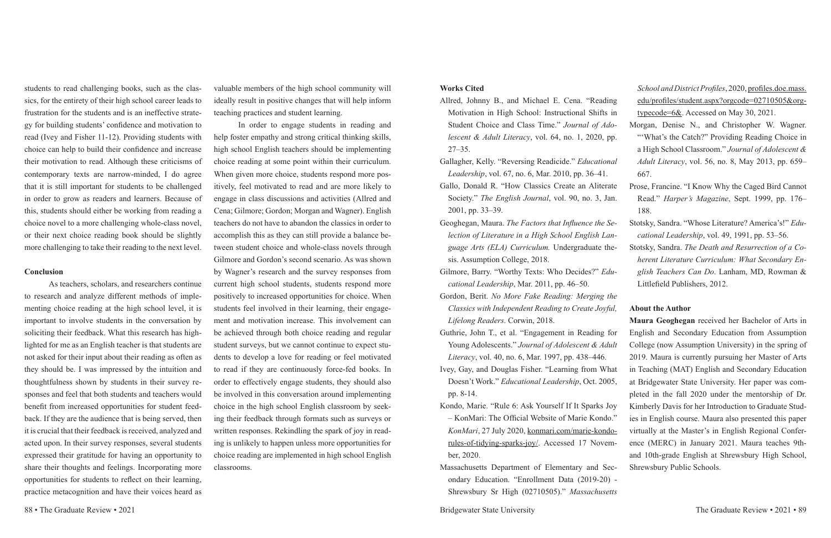students to read challenging books, such as the classics, for the entirety of their high school career leads to frustration for the students and is an ineffective strategy for building students' confidence and motivation to read (Ivey and Fisher 11-12). Providing students with choice can help to build their confidence and increase their motivation to read. Although these criticisms of contemporary texts are narrow-minded, I do agree that it is still important for students to be challenged in order to grow as readers and learners. Because of this, students should either be working from reading a choice novel to a more challenging whole-class novel, or their next choice reading book should be slightly more challenging to take their reading to the next level.

### **Conclusion**

As teachers, scholars, and researchers continue to research and analyze different methods of implementing choice reading at the high school level, it is important to involve students in the conversation by soliciting their feedback. What this research has highlighted for me as an English teacher is that students are not asked for their input about their reading as often as they should be. I was impressed by the intuition and thoughtfulness shown by students in their survey responses and feel that both students and teachers would benefit from increased opportunities for student feedback. If they are the audience that is being served, then it is crucial that their feedback is received, analyzed and acted upon. In their survey responses, several students expressed their gratitude for having an opportunity to share their thoughts and feelings. Incorporating more opportunities for students to reflect on their learning, practice metacognition and have their voices heard as

valuable members of the high school community will ideally result in positive changes that will help inform teaching practices and student learning.

- Allred, Johnny B., and Michael E. Cena. "Reading Motivation in High School: Instructional Shifts Student Choice and Class Time." Journal of Ad *lescent & Adult Literacy*, vol. 64, no. 1, 2020, p. 27–35.
- Gallagher, Kelly. "Reversing Readicide." *Education Leadership*, vol. 67, no. 6, Mar. 2010, pp. 36–41.
- Gallo, Donald R. "How Classics Create an Aliterate Society." The English Journal, vol. 90, no. 3, Ja 2001, pp. 33–39.
- Geoghegan, Maura. *The Factors that Influence the S* lection of Literature in a High School English La guage Arts (ELA) Curriculum. Undergraduate the sis. Assumption College, 2018.
- Gilmore, Barry. "Worthy Texts: Who Decides?" *Ed cational Leadership*, Mar. 2011, pp. 46–50.
- Gordon, Berit. *No More Fake Reading: Merging the Classics with Independent Reading to Create Joyful, Lifelong Readers*. Corwin, 2018.
- Guthrie, John T., et al. "Engagement in Reading for Young Adolescents." *Journal of Adolescent & Adult Literacy*, vol. 40, no. 6, Mar. 1997, pp. 438–446.
- Ivey, Gay, and Douglas Fisher. "Learning from What Doesn't Work." *Educational Leadership*, Oct. 2005, pp. 8-14.
- Kondo, Marie. "Rule 6: Ask Yourself If It Sparks Joy – KonMari: The Official Website of Marie Kondo." *KonMari*, 27 July 2020, konmari.com/marie-kondorules-of-tidying-sparks-joy/. Accessed 17 November, 2020.
- Massachusetts Department of Elementary and Secondary Education. "Enrollment Data (2019-20) - Shrewsbury Sr High (02710505)." *Massachusetts*

In order to engage students in reading and help foster empathy and strong critical thinking skills, high school English teachers should be implementing choice reading at some point within their curriculum. When given more choice, students respond more positively, feel motivated to read and are more likely to engage in class discussions and activities (Allred and Cena; Gilmore; Gordon; Morgan and Wagner). English teachers do not have to abandon the classics in order to accomplish this as they can still provide a balance between student choice and whole-class novels through Gilmore and Gordon's second scenario. As was shown by Wagner's research and the survey responses from current high school students, students respond more positively to increased opportunities for choice. When students feel involved in their learning, their engagement and motivation increase. This involvement can be achieved through both choice reading and regular student surveys, but we cannot continue to expect students to develop a love for reading or feel motivated to read if they are continuously force-fed books. In order to effectively engage students, they should also be involved in this conversation around implementing choice in the high school English classroom by seeking their feedback through formats such as surveys or written responses. Rekindling the spark of joy in reading is unlikely to happen unless more opportunities for choice reading are implemented in high school English classrooms.

### **Works Cited**

|                | School and District Profiles, 2020, profiles.doe.mass. |
|----------------|--------------------------------------------------------|
| ng             | edu/profiles/student.aspx?orgcode=02710505&org-        |
| in             | typecode= $6&$ . Accessed on May 30, 2021.             |
| lo-            | Morgan, Denise N., and Christopher W. Wagner.          |
| p.             | "What's the Catch?" Providing Reading Choice in        |
|                | a High School Classroom." Journal of Adolescent &      |
| ıal            | Adult Literacy, vol. 56, no. 8, May 2013, pp. 659–     |
|                | 667.                                                   |
| ate            | Prose, Francine. "I Know Why the Caged Bird Cannot     |
| ìn.            | Read." <i>Harper's Magazine</i> , Sept. 1999, pp. 176– |
|                | 188.                                                   |
| se-            | Stotsky, Sandra. "Whose Literature? America's!" Edu-   |
| $n-$           | cational Leadership, vol. 49, 1991, pp. 53–56.         |
| e-             | Stotsky, Sandra. The Death and Resurrection of a Co-   |
|                | herent Literature Curriculum: What Secondary En-       |
| lu-            | glish Teachers Can Do. Lanham, MD, Rowman &            |
|                | Littlefield Publishers, 2012.                          |
| $\mathbf{1}$ . |                                                        |

### **About the Author**

**Maura Geoghegan** received her Bachelor of Arts in English and Secondary Education from Assumption College (now Assumption University) in the spring of 2019. Maura is currently pursuing her Master of Arts in Teaching (MAT) English and Secondary Education at Bridgewater State University. Her paper was completed in the fall 2020 under the mentorship of Dr. Kimberly Davis for her Introduction to Graduate Studies in English course. Maura also presented this paper virtually at the Master's in English Regional Conference (MERC) in January 2021. Maura teaches 9thand 10th-grade English at Shrewsbury High School, Shrewsbury Public Schools.